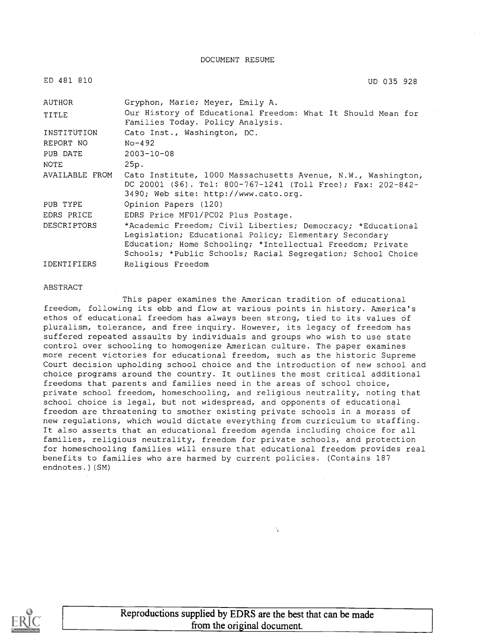DOCUMENT RESUME

| ED 481 810         | UD 035 928                                                                                                                                                                                                                                       |
|--------------------|--------------------------------------------------------------------------------------------------------------------------------------------------------------------------------------------------------------------------------------------------|
| AUTHOR             | Gryphon, Marie; Meyer, Emily A.                                                                                                                                                                                                                  |
| TITLE              | Our History of Educational Freedom: What It Should Mean for<br>Families Today. Policy Analysis.                                                                                                                                                  |
| INSTITUTION        | Cato Inst., Washington, DC.                                                                                                                                                                                                                      |
| REPORT NO          | $No-492$                                                                                                                                                                                                                                         |
| PUB DATE           | $2003 - 10 - 08$                                                                                                                                                                                                                                 |
| <b>NOTE</b>        | 25p.                                                                                                                                                                                                                                             |
| AVAILABLE FROM     | Cato Institute, 1000 Massachusetts Avenue, N.W., Washington,<br>DC 20001 (\$6). Tel: 800-767-1241 (Toll Free); Fax: 202-842-<br>3490; Web site: http://www.cato.org.                                                                             |
| PUB TYPE           | Opinion Papers (120)                                                                                                                                                                                                                             |
| EDRS PRICE         | EDRS Price MF01/PC02 Plus Postage.                                                                                                                                                                                                               |
| <b>DESCRIPTORS</b> | *Academic Freedom; Civil Liberties; Democracy; *Educational<br>Legislation; Educational Policy; Elementary Secondary<br>Education; Home Schooling; *Intellectual Freedom; Private<br>Schools; *Public Schools; Racial Segregation; School Choice |
| <b>IDENTIFIERS</b> | Religious Freedom                                                                                                                                                                                                                                |

#### ABSTRACT

This paper examines the American tradition of educational freedom, following its ebb and flow at various points in history. America's ethos of educational freedom has always been strong, tied to its values of pluralism, tolerance, and free inquiry. However, its legacy of freedom has suffered repeated assaults by individuals and groups who wish to use state control over schooling to homogenize American culture. The paper examines more recent victories for educational freedom, such as the historic Supreme Court decision upholding school choice and the introduction of new school and choice programs around the country. It outlines the most critical additional freedoms that parents and families need in the areas of school choice, private school freedom, homeschooling, and religious neutrality, noting that school choice is legal, but not widespread, and opponents of educational freedom are threatening to smother existing private schools in a morass of new regulations, which would dictate everything from curriculum to staffing. It also asserts that an educational freedom agenda including choice for all families, religious neutrality, freedom for private schools, and protection for homeschooling families will ensure that educational freedom provides real benefits to families who are harmed by current policies. (Contains 187 endnotes.) (SM)

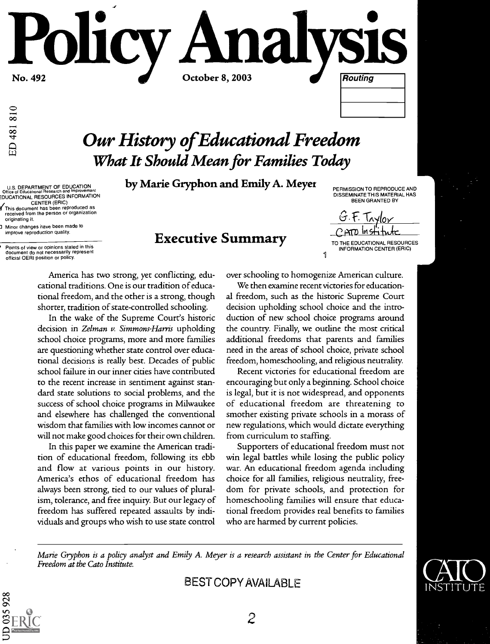No. 492 October 8, 2003

na

 ${\bf CY}$   $A$ 

ED 481810

## Our History of Educational Freedom What It Should Mean for Families Today

Office of Educational Research and Improvement<br>EDUCATIONAL RESOURCES INFORMATION by Marie Gryphon and Emily A. Meyer

PERMISSION TO REPRODUCE AND DISSEMINATE THIS MATERIAL HAS BEEN GRANTED BY



**Routing** 

INFORMATION CENTER (ERIC)  $\mathbf{u}$ 

CENTER (ERIC) (This document has been reproduced as received from the person or organization originating it. Minor changes have been made to improve reproduction quality.

U.S. DEPARTMENT OF EDUCATION<br>Office of Educational Research and Improveme

Poli

Points of view or opinions stated in this document do not necessarily represent official OERI position or policy.

## Executive Summary

America has two strong, yet conflicting, educational traditions. One is our tradition of educational freedom, and the other is a strong, though shorter, tradition of state-controlled schooling.

In the wake of the Supreme Court's historic decision in Zelman v. Simmons-Harris upholding school choice programs, more and more families are questioning whether state control over educational decisions is really best. Decades of public school failure in our inner cities have contributed to the recent increase in sentiment against standard state solutions to social problems, and the success of school choice programs in Milwaukee and elsewhere has challenged the conventional wisdom that families with low incomes cannot or will not make good choices for their own children.

In this paper we examine the American tradition of educational freedom, following its ebb and flow at various points in our history. America's ethos of educational freedom has always been strong, tied to our values of pluralism, tolerance, and free inquiry. But our legacy of freedom has suffered repeated assaults by individuals and groups who wish to use state control over schooling to homogenize American culture.

We then examine recent victories for educational freedom, such as the historic Supreme Court decision upholding school choice and the introduction of new school choice programs around the country. Finally, we outline the most critical additional freedoms that parents and families need in the areas of school choice, private school freedom, homeschooling, and religious neutrality.

Recent victories for educational freedom are encouraging but only a beginning. School choice is legal, but it is not widespread, and opponents of educational freedom are threatening to smother existing private schools in a morass of new regulations, which would dictate everything from curriculum to staffing.

Supporters of educational freedom must not win legal battles while losing the public policy war. An educational freedom agenda including choice for all families, religious neutrality, freedom for private schools, and protection for homeschooling families will ensure that educational freedom provides real benefits to families who are harmed by current policies.

Marie Gryphon is a policy analyst and Emily A. Meyer is a research assistant in the Center for Educational Freedom at the Cato Institute.





is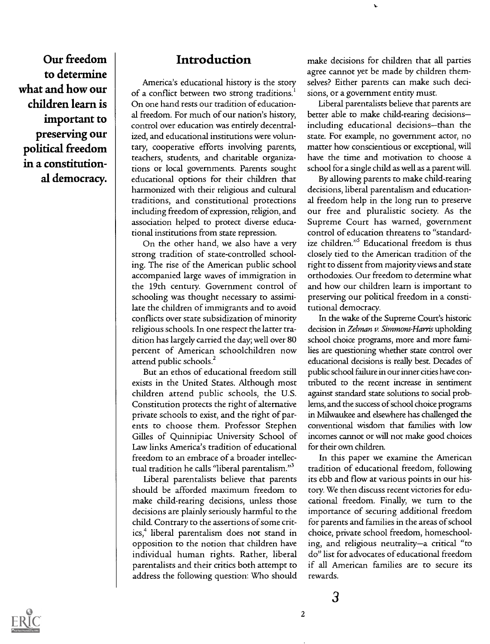Our freedom to determine what and how our children learn is important to preserving our political freedom in a constitutional democracy.

## Introduction

America's educational history is the story of a conflict between two strong traditions.<sup>1</sup> On one hand rests our tradition of educational freedom. For much of our nation's history, control over education was entirely decentralized, and educational institutions were voluntary, cooperative efforts involving parents, teachers, students, and charitable organizations or local governments. Parents sought educational options for their children that harmonized with their religious and cultural traditions, and constitutional protections including freedom of expression, religion, and association helped to protect diverse educational institutions from state repression.

On the other hand, we also have a very strong tradition of state-controlled schooling. The rise of the American public school accompanied large waves of immigration in the 19th century. Government control of schooling was thought necessary to assimilate the children of immigrants and to avoid conflicts over state subsidization of minority religious schools. In one respect the latter tradition has largely carried the day; well over 80 percent of American schoolchildren now attend public schools.<sup>2</sup>

But an ethos of educational freedom still exists in the United States. Although most children attend public schools, the U.S. Constitution protects the right of alternative private schools to exist, and the right of parents to choose them. Professor Stephen Gilles of Quinnipiac University School of Law links America's tradition of educational freedom to an embrace of a broader intellectual tradition he calls "liberal parentalism."<sup>3</sup>

Liberal parentalists believe that parents should be afforded maximum freedom to make child-rearing decisions, unless those decisions are plainly seriously harmful to the child. Contrary to the assertions of some critics,<sup>4</sup> liberal parentalism does not stand in opposition to the notion that children have individual human rights. Rather, liberal parentalists and their critics both attempt to address the following question: Who should make decisions for children that all parties agree cannot yet be made by children themselves? Either parents can make such decisions, or a government entity must.

Liberal parentalists believe that parents are better able to make child-rearing decisions including educational decisions-than the state. For example, no government actor, no matter how conscientious or exceptional, will have the time and motivation to choose a school for a single child as well as a parent will.

By allowing parents to make child-rearing decisions, liberal parentalism and educational freedom help in the long run to preserve our free and pluralistic society. As the Supreme Court has warned, government control of education threatens to "standardize children."<sup>5</sup> Educational freedom is thus closely tied to the American tradition of the right to dissent from majority views and state orthodoxies. Our freedom to determine what and how our children learn is important to preserving our political freedom in a constitutional democracy.

In the wake of the Supreme Court's historic decision in Zelman v. Simmons-Harris upholding school choice programs, more and more families are questioning whether state control over educational decisions is really best. Decades of public school failure in our inner cities have contributed to the recent increase in sentiment against standard state solutions to social problems, and the success of school choice programs in Milwaukee and elsewhere has challenged the conventional wisdom that families with low incomes cannot or will not make good choices for their own children.

In this paper we examine the American tradition of educational freedom, following its ebb and flow at various points in our history. We then discuss recent victories for educational freedom. Finally, we turn to the importance of securing additional freedom for parents and families in the areas of school choice, private school freedom, homeschooling, and religious neutrality-a critical "to do" list for advocates of educational freedom if all American families are to secure its rewards.

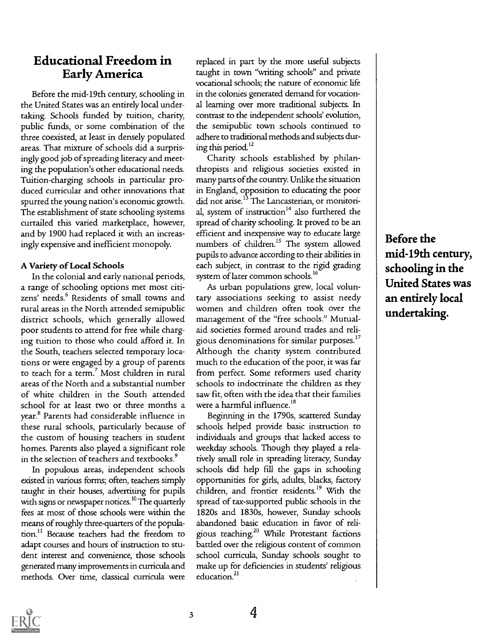## Educational Freedom in Early America

Before the mid-19th century, schooling in the United States was an entirely local undertaking. Schools funded by tuition, charity, public funds, or some combination of the three coexisted, at least in densely populated areas. That mixture of schools did a surprisingly good job of spreading literacy and meeting the population's other educational needs. Tuition-charging schools in particular produced curricular and other innovations that spurred the young nation's economic growth. The establishment of state schooling systems curtailed this varied marketplace, however, and by 1900 had replaced it with an increasingly expensive and inefficient monopoly.

#### A Variety of Local Schools

In the colonial and early national periods, a range of schooling options met most citizens' needs.' Residents of small towns and rural areas in the North attended semipublic district schools, which generally allowed poor students to attend for free while charging tuition to those who could afford it. In the South, teachers selected temporary locations or were engaged by a group of parents to teach for a term.' Most children in rural areas of the North and a substantial number of white children in the South attended school for at least two or three months a year.<sup>8</sup> Parents had considerable influence in these rural schools, particularly because of the custom of housing teachers in student homes. Parents also played a significant role in the selection of teachers and textbooks.<sup>9</sup>

In populous areas, independent schools existed in various forms; often, teachers simply taught in their houses, advertising for pupils with signs or newspaper notices.<sup>10</sup> The quarterly fees at most of those schools were within the means of roughly three-quarters of the population.<sup>11</sup> Because teachers had the freedom to adapt courses and hours of instruction to student interest and convenience, those schools generated many improvements in curricula and methods. Over time, classical curricula were

replaced in part by the more useful subjects taught in town "writing schools" and private vocational schools; the nature of economic life in the colonies generated demand for vocational learning over more traditional subjects. In contrast to the independent schools' evolution, the semipublic town schools continued to adhere to traditional methods and subjects during this period. $^{12}$ 

Charity schools established by philanthropists and religious societies existed in many parts of the country. Unlike the situation in England, opposition to educating the poor did not arise.<sup>13</sup> The Lancasterian, or monitorial, system of instruction<sup>14</sup> also furthered the spread of charity schooling. It proved to be an efficient and inexpensive way to educate large numbers of children.<sup>15</sup> The system allowed pupils to advance according to their abilities in each subject, in contrast to the rigid grading system of later common schools.<sup>16</sup>

As urban populations grew, local voluntary associations seeking to assist needy women and children often took over the management of the "free schools." Mutualaid societies formed around trades and religious denominations for similar purposes.<sup>17</sup> Although the charity system contributed much to the education of the poor, it was far from perfect. Some reformers used charity schools to indoctrinate the children as they saw fit, often with the idea that their families were a harmful influence.<sup>18</sup>

Beginning in the 1790s, scattered Sunday schools helped provide basic instruction to individuals and groups that lacked access to weekday schools. Though they played a relatively small role in spreading literacy, Sunday schools did help fill the gaps in schooling opportunities for girls, adults, blacks, factory children, and frontier residents.<sup>19</sup> With the spread of tax-supported public schools in the 1820s and 1830s, however, Sunday schools abandoned basic education in favor of religious teaching.2° While Protestant factions battled over the religious content of common school curricula, Sunday schools sought to make up for deficiencies in students' religious education. $21$ 

Before the mid-19th century, schooling in the United States was an entirely local undertaking.

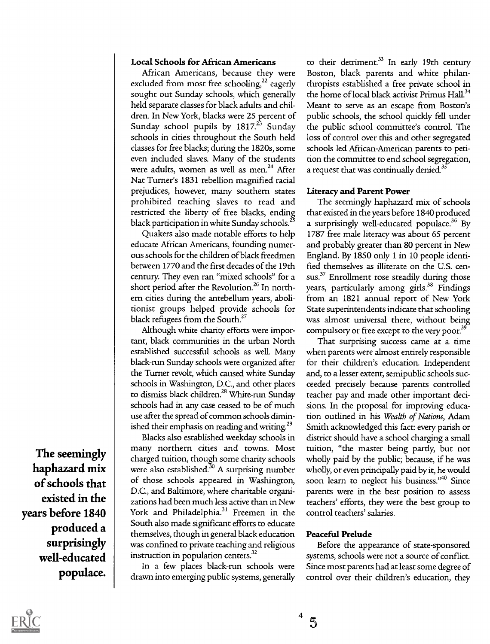#### Local Schools for African Americans

African Americans, because they were excluded from most free schooling,<sup>22</sup> eagerly sought out Sunday schools, which generally held separate classes for black adults and children. In New York, blacks were 25 percent of Sunday school pupils by  $1817^{23}$  Sunday schools in cities throughout the South held classes for free blacks; during the 1820s, some even included slaves. Many of the students were adults, women as well as men.<sup>24</sup> After Nat Turner's 1831 rebellion magnified racial prejudices, however, many southern states prohibited teaching slaves to read and restricted the liberty of free blacks, ending black participation in white Sunday schools.<sup>25</sup>

Quakers also made notable efforts to help educate African Americans, founding numerous schools for the children of black freedmen between 1770 and the first decades of the 19th century. They even ran "mixed schools" for a short period after the Revolution.<sup>26</sup> In northern cities during the antebellum years, abolitionist groups helped provide schools for black refugees from the South.<sup>27</sup>

Although white charity efforts were important, black communities in the urban North established successful schools as well. Many black-run Sunday schools were organized after the Turner revolt, which caused white Sunday schools in Washington, D.C., and other places to dismiss black children.<sup>28</sup> White-run Sunday schools had in any case ceased to be of much use after the spread of common schools diminished their emphasis on reading and writing.<sup>29</sup>

Blacks also established weekday schools in many northern cities and towns. Most charged tuition, though some charity schools were also established. $30$  A surprising number of those schools appeared in Washington, D.C., and Baltimore, where charitable organizations had been much less active than in New York and Philadelphia.<sup>31</sup> Freemen in the South also made significant efforts to educate themselves, though in general black education was confined to private teaching and religious instruction in population centers. $32$ 

In a few places black-run schools were drawn into emerging public systems, generally to their detriment.<sup>33</sup> In early 19th century Boston, black parents and white philanthropists established a free private school in the home of local black activist Primus Hall.<sup>34</sup> Meant to serve as an escape from Boston's public schools, the school quickly fell under the public school committee's control. The loss of control over this and other segregated schools led African-American parents to petition the committee to end school segregation, a request that was continually denied.<sup>35</sup>

#### Literacy and Parent Power

The seemingly haphazard mix of schools that existed in the years before 1840 produced a surprisingly well-educated populace.<sup>36</sup> By 1787 free male literacy was about 65 percent and probably greater than 80 percent in New England. By 1850 only 1 in 10 people identified themselves as illiterate on the U.S. census.<sup>37</sup> Enrollment rose steadily during those years, particularly among girls.<sup>38</sup> Findings from an 1821 annual report of New York State superintendents indicate that schooling was almost universal there, without being compulsory or free except to the very poor.<sup>39</sup>

That surprising success came at a time when parents were almost entirely responsible for their children's education. Independent and, to a lesser extent, semipublic schools succeeded precisely because parents controlled teacher pay and made other important decisions. In the proposal for improving education outlined in his Wealth of Nations, Adam Smith acknowledged this fact: every parish or district should have a school charging a small tuition, "the master being partly, but not wholly paid by the public; because, if he was wholly, or even principally paid by it, he would soon learn to neglect his business."40 Since parents were in the best position to assess teachers' efforts, they were the best group to control teachers' salaries.

#### Peaceful Prelude

Before the appearance of state-sponsored systems, schools were not a source of conflict. Since most parents had at least some degree of control over their children's education, they

The seemingly haphazard mix of schools that existed in the years before 1840 produced a surprisingly well-educated populace.

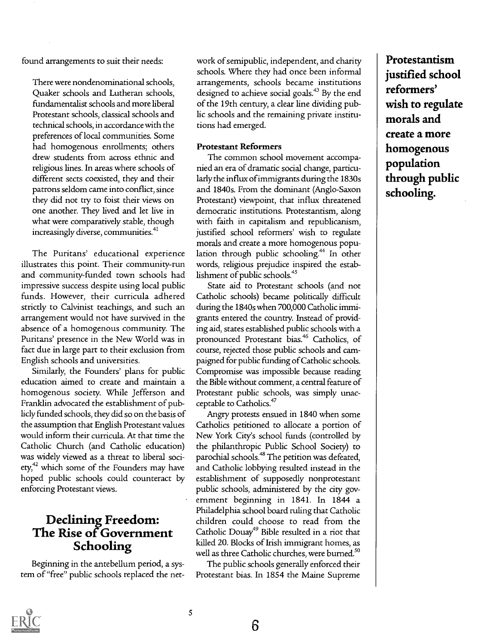found arrangements to suit their needs:

There were nondenominational schools, Quaker schools and Lutheran schools, fundamentalist schools and more liberal Protestant schools, classical schools and technical schools, in accordance with the preferences of local communities. Some had homogenous enrollments; others drew students from across ethnic and religious lines. In areas where schools of different sects coexisted, they and their patrons seldom came into conflict, since they did not try to foist their views on one another. They lived and let live in what were comparatively stable, though increasingly diverse, communities.<sup>41</sup>

The Puritans' educational experience illustrates this point. Their community-run and community-funded town schools had impressive success despite using local public funds. However, their curricula adhered strictly to Calvinist teachings, and such an arrangement would not have survived in the absence of a homogenous community. The Puritans' presence in the New World was in fact due in large part to their exclusion from English schools and universities.

Similarly, the Founders' plans for public education aimed to create and maintain a homogenous society. While Jefferson and Franklin advocated the establishment of publicly funded schools, they did so on the basis of the assumption that English Protestant values would inform their curricula. At that time the Catholic Church (and Catholic education) was widely viewed as a threat to liberal soci- $\text{ev}_y^{42}$  which some of the Founders may have hoped public schools could counteract by enforcing Protestant views.

## Declining Freedom: The Rise of Government Schooling

Beginning in the antebellum period, a system of "free" public schools replaced the network of semipublic, independent, and charity schools. Where they had once been informal arrangements, schools became institutions designed to achieve social goals.<sup>43</sup> By the end of the 19th century, a clear line dividing public schools and the remaining private institutions had emerged.

#### Protestant Reformers

The common school movement accompanied an era of dramatic social change, particularly the influx ofimmigrants during the 1830s and 1840s. From the dominant (Anglo-Saxon Protestant) viewpoint, that influx threatened democratic institutions. Protestantism, along with faith in capitalism and republicanism, justified school reformers' wish to regulate morals and create a more homogenous population through public schooling.<sup>44</sup> In other words, religious prejudice inspired the establishment of public schools.<sup>45</sup>

State aid to Protestant schools (and not Catholic schools) became politically difficult during the 1840s when 700,000 Catholic immigrants entered the country. Instead of providing aid, states established public schools with a pronounced Protestant bias.<sup>46</sup> Catholics, of course, rejected those public schools and campaigned for public funding of Catholic schools. Compromise was impossible because reading the Bible without comment, a central feature of Protestant public schools, was simply unacceptable to Catholics.<sup>47</sup>

Angry protests ensued in 1840 when some Catholics petitioned to allocate a portion of New York City's school funds (controlled by the philanthropic Public School Society) to parochial schools.48 The petition was defeated, and Catholic lobbying resulted instead in the establishment of supposedly nonprotestant public schools, administered by the city government beginning in 1841. In 1844 a Philadelphia school board ruling that Catholic children could choose to read from the Catholic Douay<sup>49</sup> Bible resulted in a riot that killed 20. Blocks of Irish immigrant homes, as well as three Catholic churches, were burned.<sup>50</sup>

The public schools generally enforced their Protestant bias. In 1854 the Maine Supreme

Protestantism justified school reformers' wish to regulate morals and create a more homogenous population through public schooling.

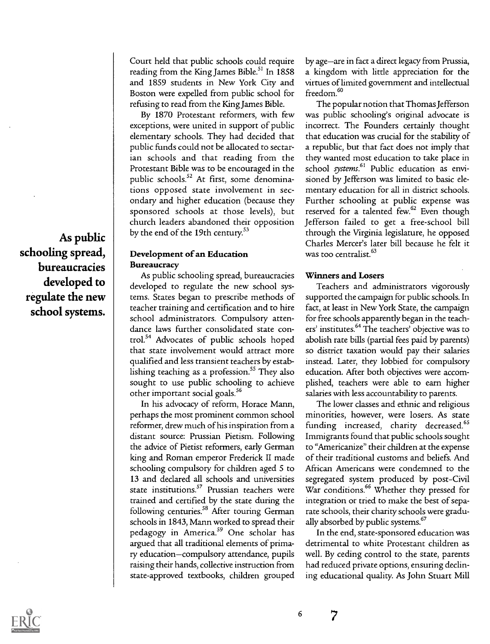Court held that public schools could require reading from the King James Bible.<sup>51</sup> In 1858 and 1859 students in New York City and Boston were expelled from public school for refusing to read from the King James Bible.

By 1870 Protestant reformers, with few exceptions, were united in support of public elementary schools. They had decided that public funds could not be allocated to sectarian schools and that reading from the Protestant Bible was to be encouraged in the public schools.<sup>52</sup> At first, some denominations opposed state involvement in secondary and higher education (because they sponsored schools at those levels), but church leaders abandoned their opposition by the end of the 19th century.<sup>53</sup>

#### Development of an Education **Bureaucracy**

As public schooling spread, bureaucracies developed to regulate the new school systems. States began to prescribe methods of teacher training and certification and to hire school administrators. Compulsory attendance laws further consolidated state control.<sup>54</sup> Advocates of public schools hoped that state involvement would attract more qualified and less transient teachers by establishing teaching as a profession.<sup>55</sup> They also sought to use public schooling to achieve other important social goals.<sup>56</sup>

In his advocacy of reform, Horace Mann, perhaps the most prominent common school reformer, drew much of his inspiration from a distant source: Prussian Pietism. Following the advice of Pietist reformers, early German king and Roman emperor Frederick II made schooling compulsory for children aged 5 to 13 and declared all schools and universities state institutions.<sup>57</sup> Prussian teachers were trained and certified by the state during the following centuries.<sup>58</sup> After touring German schools in 1843, Mann worked to spread their pedagogy in America.<sup>59</sup> One scholar has argued that all traditional elements of primary education-compulsory attendance, pupils raising their hands, collective instruction from state-approved textbooks, children grouped by age-are in fact a direct legacy from Prussia, a kingdom with little appreciation for the virtues of limited government and intellectual freedom.<sup>60</sup>

The popular notion that Thomas Jefferson was public schooling's original advocate is incorrect. The Founders certainly thought that education was crucial for the stability of a republic, but that fact does not imply that they wanted most education to take place in school systems.<sup>61</sup> Public education as envisioned by Jefferson was limited to basic elementary education for all in district schools. Further schooling at public expense was reserved for a talented  $few$ <sup>62</sup> Even though Jefferson failed to get a free-school bill through the Virginia legislature, he opposed Charles Mercer's later bill because he felt it was too centralist.<sup>63</sup>

#### Winners and Losers

Teachers and administrators vigorously supported the campaign for public schools. In fact, at least in New York State, the campaign for free schools apparently began in the teachers' institutes.<sup>64</sup> The teachers' objective was to abolish rate bills (partial fees paid by parents) so district taxation would pay their salaries instead. Later, they lobbied for compulsory education. After both objectives were accomplished, teachers were able to earn higher salaries with less accountability to parents.

The lower classes and ethnic and religious minorities, however, were losers. As state funding increased, charity decreased.<sup>65</sup> Immigrants found that public schools sought to "Americanize" their children at the expense of their traditional customs and beliefs. And African Americans were condemned to the segregated system produced by post-Civil War conditions.<sup>66</sup> Whether they pressed for integration or tried to make the best of separate schools, their charity schools were gradually absorbed by public systems.<sup>67</sup>

In the end, state-sponsored education was detrimental to white Protestant children as well. By ceding control to the state, parents had reduced private options, ensuring declining educational quality. As John Stuart Mill

As public schooling spread, bureaucracies developed to regulate the new school systems.



7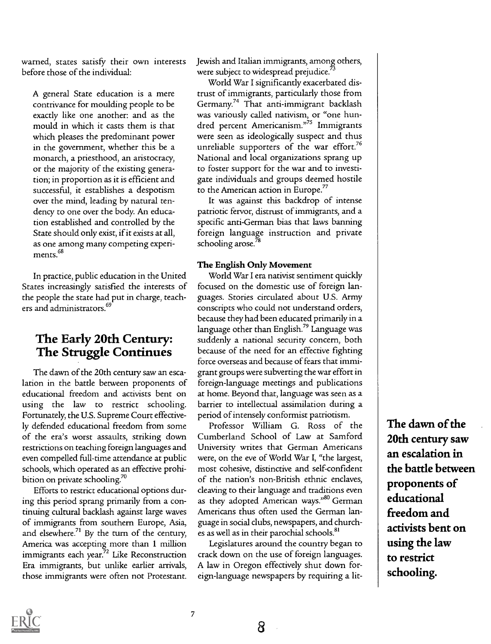warned, states satisfy their own interests before those of the individual:

A general State education is a mere contrivance for moulding people to be exactly like one another: and as the mould in which it casts them is that which pleases the predominant power in the government, whether this be a monarch, a priesthood, an aristocracy, or the majority of the existing generation; in proportion as it is efficient and successful, it establishes a despotism over the mind, leading by natural tendency to one over the body. An education established and controlled by the State should only exist, if it exists at all, as one among many competing experiments.<sup>68</sup>

In practice, public education in the United States increasingly satisfied the interests of the people the state had put in charge, teachers and administrators.<sup>69</sup>

## The Early 20th Century: The Struggle Continues

The dawn of the 20th century saw an escalation in the battle between proponents of educational freedom and activists bent on using the law to restrict schooling. Fortunately, the U.S. Supreme Court effectively defended educational freedom from some of the era's worst assaults, striking down restrictions on teaching foreign languages and even compelled full-time attendance at public schools, which operated as an effective prohibition on private schooling.<sup>70</sup>

Efforts to restrict educational options during this period sprang primarily from a continuing cultural backlash against large waves of immigrants from southern Europe, Asia, and elsewhere. $^{71}$  By the turn of the century, America was accepting more than 1 million immigrants each year.<sup>72</sup> Like Reconstruction Era immigrants, but unlike earlier arrivals, those immigrants were often not Protestant.

Jewish and Italian immigrants, among others, were subject to widespread prejudice.<sup>7</sup>

World War I significantly exacerbated distrust of immigrants, particularly those from Germany.<sup>74</sup> That anti-immigrant backlash was variously called nativism, or "one hundred percent Americanism."75 Immigrants were seen as ideologically suspect and thus unreliable supporters of the war effort.<sup>76</sup> National and local organizations sprang up to foster support for the war and to investigate individuals and groups deemed hostile to the American action in Europe.<sup>77</sup>

It was against this backdrop of intense patriotic fervor, distrust of immigrants, and a specific anti-German bias that laws banning foreign language instruction and private schooling arose.<sup>78</sup>

#### The English Only Movement

World War I era nativist sentiment quickly focused on the domestic use of foreign languages. Stories circulated about U.S. Army conscripts who could not understand orders, because they had been educated primarily in a language other than English.<sup>79</sup> Language was suddenly a national security concern, both because of the need for an effective fighting force overseas and because of fears that immigrant groups were subverting the war effort in foreign-language meetings and publications at home. Beyond that, language was seen as a barrier to intellectual assimilation during a period of intensely conformist patriotism.

Professor William G. Ross of the Cumberland School of Law at Samford University writes that German Americans were, on the eve of World War I, "the largest, most cohesive, distinctive and self-confident of the nation's non-British ethnic enclaves, cleaving to their language and traditions even as they adopted American ways."80 German Americans thus often used the German language in social clubs, newspapers, and churches as well as in their parochial schools.<sup>81</sup>

Legislatures around the country began to crack down on the use of foreign languages. A law in Oregon effectively shut down foreign-language newspapers by requiring a litThe dawn of the 20th century saw an escalation in the battle between proponents of educational freedom and activists bent on using the law to restrict schooling.

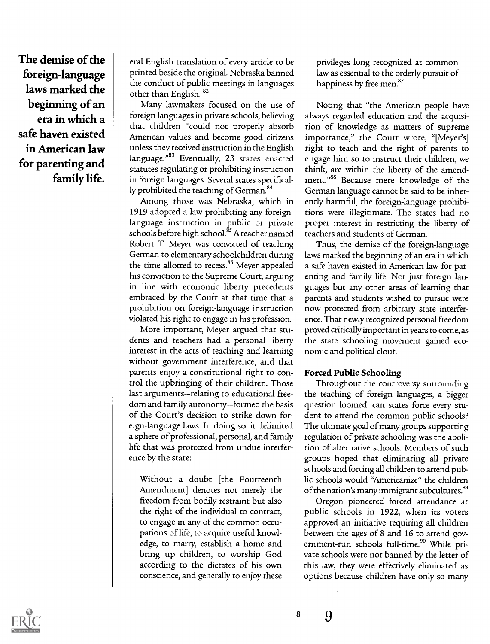The demise of the foreign-language laws marked the beginning of an era in which a safe haven existed in American law for parenting and family life.

eral English translation of every article to be printed beside the original. Nebraska banned the conduct of public meetings in languages other than English. 82

Many lawmakers focused on the use of foreign languages in private schools, believing that children "could not properly absorb American values and become good citizens unless they received instruction in the English language."<sup>83</sup> Eventually, 23 states enacted statutes regulating or prohibiting instruction in foreign languages. Several states specifically prohibited the teaching of German.<sup>84</sup>

Among those was Nebraska, which in 1919 adopted a law prohibiting any foreignlanguage instruction in public or private schools before high school.<sup>85</sup> A teacher named Robert T. Meyer was convicted of teaching German to elementary schoolchildren during the time allotted to recess.<sup>86</sup> Meyer appealed his conviction to the Supreme Court, arguing in line with economic liberty precedents embraced by the Court at that time that a prohibition on foreign-language instruction violated his right to engage in his profession.

More important, Meyer argued that students and teachers had a personal liberty interest in the acts of teaching and learning without government interference, and that parents enjoy a constitutional right to control the upbringing of their children. Those last arguments-relating to educational freedom and family autonomy-formed the basis of the Court's decision to strike down foreign-language laws. In doing so, it delimited a sphere of professional, personal, and family life that was protected from undue interference by the state:

Without a doubt [the Fourteenth Amendment] denotes not merely the freedom from bodily restraint but also the right of the individual to contract, to engage in any of the common occupations of life, to acquire useful knowledge, to marry, establish a home and bring up children, to worship God according to the dictates of his own conscience, and generally to enjoy these

privileges long recognized at common law as essential to the orderly pursuit of happiness by free men.<sup>87</sup>

Noting that "the American people have always regarded education and the acquisition of knowledge as matters of supreme importance," the Court wrote, "[Meyer's] right to teach and the right of parents to engage him so to instruct their children, we think, are within the liberty of the amendment."88 Because mere knowledge of the German language cannot be said to be inherently harmful, the foreign-language prohibitions were illegitimate. The states had no proper interest in restricting the liberty of teachers and students of German.

Thus, the demise of the foreign-language laws marked the beginning of an era in which a safe haven existed in American law for parenting and family life. Not just foreign languages but any other areas of learning that parents and students wished to pursue were now protected from arbitrary state interference. That newly recognized personal freedom proved critically important in years to come, as the state schooling movement gained economic and political clout.

#### Forced Public Schooling

Throughout the controversy surrounding the teaching of foreign languages, a bigger question loomed: can states force every student to attend the common public schools? The ultimate goal of many groups supporting regulation of private schooling was the abolition of alternative schools. Members of such groups hoped that eliminating all private schools and forcing all children to attend public schools would "Americanize" the children of the nation's many immigrant subcultures.<sup>89</sup>

Oregon pioneered forced attendance at public schools in 1922, when its voters approved an initiative requiring all children between the ages of 8 and 16 to attend government-run schools full-time.<sup>90</sup> While private schools were not banned by the letter of this law, they were effectively eliminated as options because children have only so many



8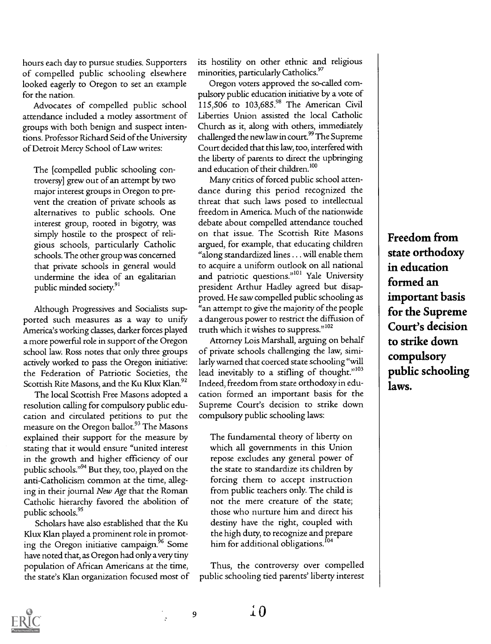hours each day to pursue studies. Supporters of compelled public schooling elsewhere looked eagerly to Oregon to set an example for the nation.

Advocates of compelled public school attendance included a motley assortment of groups with both benign and suspect intentions. Professor Richard Seid of the University of Detroit Mercy School of Law writes:

The [compelled public schooling controversy] grew out of an attempt by two major interest groups in Oregon to prevent the creation of private schools as alternatives to public schools. One interest group, rooted in bigotry, was simply hostile to the prospect of religious schools, particularly Catholic schools. The other group was concerned that private schools in general would undermine the idea of an egalitarian public minded society.<sup>91</sup>

Although Progressives and Socialists supported such measures as a way to unify America's working classes, darker forces played a more powerful role in support of the Oregon school law. Ross notes that only three groups actively worked to pass the Oregon initiative: the Federation of Patriotic Societies, the Scottish Rite Masons, and the Ku Klux Klan.<sup>92</sup>

The local Scottish Free Masons adopted a resolution calling for compulsory public education and circulated petitions to put the measure on the Oregon ballot.<sup>93</sup> The Masons explained their support for the measure by stating that it would ensure "united interest in the growth and higher efficiency of our public schools."94 But they, too, played on the anti-Catholicism common at the time, alleging in their journal New Age that the Roman Catholic hierarchy favored the abolition of public schools.<sup>95</sup>

Scholars have also established that the Ku Klux Klan played a prominent role in promoting the Oregon initiative campaign.<sup>96</sup> Some have noted that, as Oregon had only a very tiny population of African Americans at the time, the state's Klan organization focused most of its hostility on other ethnic and religious minorities, particularly Catholics.<sup>97</sup>

Oregon voters approved the so-called compulsory public education initiative by a vote of 115,506 to 103,685.98 The American Civil Liberties Union assisted the local Catholic Church as it, along with others, immediately challenged the new law in court.<sup>99</sup> The Supreme Court decided that this law, too, interfered with the liberty of parents to direct the upbringing and education of their children.<sup>100</sup>

Many critics of forced public school attendance during this period recognized the threat that such laws posed to intellectual freedom in America Much of the nationwide debate about compelled attendance touched on that issue. The Scottish Rite Masons argued, for example, that educating children "along standardized lines . . . will enable them to acquire a uniform outlook on all national and patriotic questions."<sup>101</sup> Yale University president Arthur Hadley agreed but disapproved. He saw compelled public schooling as "an attempt to give the majority of the people a dangerous power to restrict the diffusion of truth which it wishes to suppress."<sup>102</sup>

Attorney Lois Marshall, arguing on behalf of private schools challenging the law, similarly warned that coerced state schooling "will lead inevitably to a stifling of thought." $103$ Indeed, freedom from state orthodoxy in education formed an important basis for the Supreme Court's decision to strike down compulsory public schooling laws:

The fundamental theory of liberty on which all governments in this Union repose excludes any general power of the state to standardize its children by forcing them to accept instruction from public teachers only. The child is not the mere creature of the state; those who nurture him and direct his destiny have the right, coupled with the high duty, to recognize and prepare him for additional obligations. $104$ 

Thus, the controversy over compelled public schooling tied parents' liberty interest Freedom from state orthodoxy in education formed an important basis for the Supreme Court's decision to strike down compulsory public schooling laws.

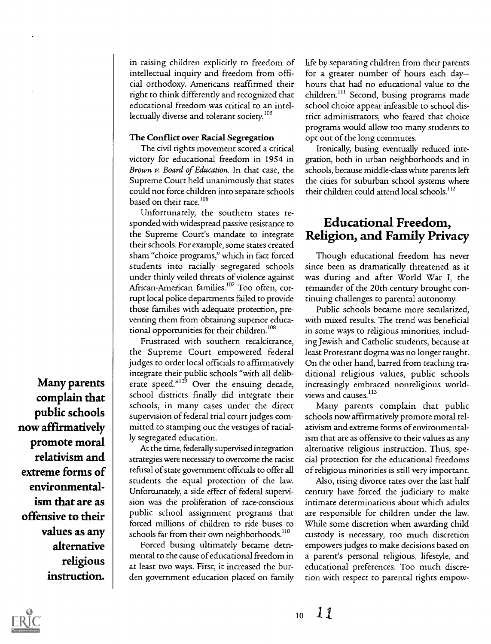in raising children explicitly to freedom of intellectual inquiry and freedom from official orthodoxy. Americans reaffirmed their right to think differently and recognized that educational freedom was critical to an intellectually diverse and tolerant society.<sup>105</sup>

#### The Conflict over Racial Segregation

The civil rights movement scored a critical victory for educational freedom in 1954 in Brown v. Board of Education. In that case, the Supreme Court held unanimously that states could not force children into separate schools based on their race.<sup>106</sup>

Unfortunately, the southern states responded with widespread passive resistance to the Supreme Court's mandate to integrate their schools. For example, some states created sham "choice programs," which in fact forced students into racially segregated schools under thinly veiled threats of violence against African-American families.<sup>107</sup> Too often, corrupt local police departments failed to provide those families with adequate protection, preventing them from obtaining superior educational opportunities for their children.<sup>108</sup>

Frustrated with southern recalcitrance, the Supreme Court empowered federal judges to order local officials to affirmatively integrate their public schools "with all deliberate speed."<sup>109</sup> Over the ensuing decade, inc school districts finally did integrate their schools, in many cases under the direct supervision of federal trial court judges committed to stamping out the vestiges of racially segregated education.

At the time, federally supervised integration strategies were necessary to overcome the racist refusal of state government officials to offer all students the equal protection of the law. Unfortunately, a side effect of federal supervision was the proliferation of race-conscious public school assignment programs that forced millions of children to ride buses to schools far from their own neighborhoods.<sup>110</sup>

Forced busing ultimately became detrimental to the cause of educational freedom in at least two ways. First, it increased the burden government education placed on family life by separating children from their parents for a greater number of hours each day hours that had no educational value to the children.<sup>111</sup> Second, busing programs made school choice appear infeasible to school district administrators, who feared that choice programs would allow too many students to opt out of the long commutes.

Ironically, busing eventually reduced integration, both in urban neighborhoods and in schools, because middle-class white parents left the cities for suburban school systems where their children could attend local schools. $^{112}$ 

## Educational Freedom, Religion, and Family Privacy

Though educational freedom has never since been as dramatically threatened as it was during and after World War I, the remainder of the 20th century brought continuing challenges to parental autonomy.

Public schools became more secularized, with mixed results. The trend was beneficial in some ways to religious minorities, including Jewish and Catholic students, because at least Protestant dogma was no longer taught. On the other hand, barred from teaching traditional religious values, public schools increasingly embraced nonreligious worldviews and causes.<sup>113</sup>

Many parents complain that public schools now affirmatively promote moral relativism and extreme forms of environmentalism that are as offensive to their values as any alternative religious instruction. Thus, special protection for the educational freedoms of religious minorities is still very important.

Also, rising divorce rates over the last half century have forced the judiciary to make intimate determinations about which adults are responsible for children under the law. While some discretion when awarding child custody is necessary, too much discretion empowers judges to make decisions based on a parent's personal religious, lifestyle, and educational preferences. Too much discretion with respect to parental rights empow-

Many parents complain that public schools now affirmatively promote moral relativism and extreme forms of environmentalism that are as offensive to their values as any alternative religious instruction.

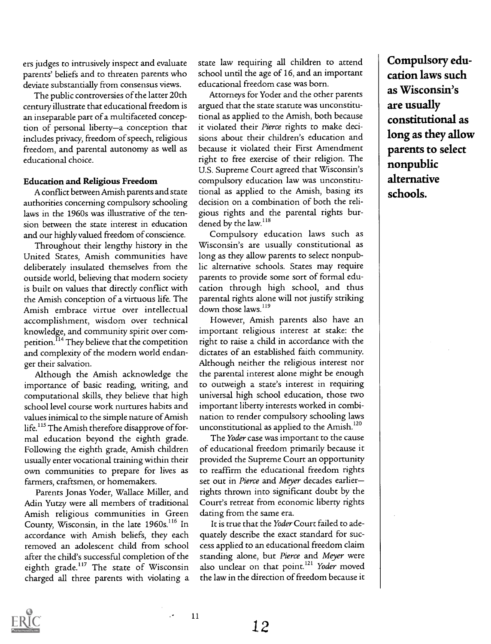ers judges to intrusively inspect and evaluate parents' beliefs and to threaten parents who deviate substantially from consensus views.

The public controversies of the latter 20th century illustrate that educational freedom is an inseparable part of a multifaceted conception of personal liberty-a conception that includes privacy, freedom of speech, religious freedom, and parental autonomy as well as educational choice.

#### Education and Religious Freedom

A conflict between Amish parents and state authorities concerning compulsory schooling laws in the 1960s was illustrative of the tension between the state inrerest in education and our highly valued freedom of conscience.

Throughout their lengthy history in the United States, Amish communities have deliberately insulated themselves from the outside world, believing that modern society is built on values that directly conflict with the Amish conception of a virtuous life. The Amish embrace virtue over intellectual accomplishment, wisdom over technical knowledge, and community spirit over competition.<sup>114</sup> They believe that the competition and complexity of the modern world endanger their salvation.

Although the Amish acknowledge the importance of basic reading, writing, and computational skills, they believe that high school level course work nurtures habits and values inimical to the simple nature of Amish life.<sup>115</sup> The Amish therefore disapprove of formal education beyond the eighth grade. Following the eighth grade, Amish children usually enter vocational training within their own communities to prepare for lives as farmers, craftsmen, or homemakers.

Parents Jonas Yoder, Wallace Miller, and Adin Yutzy were all members of traditional Amish religious communities in Green County, Wisconsin, in the late 1960s.<sup>116</sup> In accordance with Amish beliefs, they each removed an adolescent child from school after the child's successful completion of the eighth grade. $117$  The state of Wisconsin charged all three parents with violating a

state law requiring all children to attend school until the age of 16, and an important educational freedom case was born.

Attorneys for Yoder and the other parents argued that the state statute was unconstitutional as applied to the Amish, both because it violated their Pierce rights to make decisions about their children's education and because it violated their First Amendment right to free exercise of their religion. The U.S. Supreme Court agreed that Wisconsin's compulsory education law was unconstitutional as applied to the Amish, basing its decision on a combination of both the religious rights and the parental rights burdened by the law.<sup>118</sup>

Compulsory education laws such as Wisconsin's are usually constitutional as long as they allow parents to select nonpublic alternative schools. States may require parents to provide some sort of formal education through high school, and thus parental rights alone will not justify striking down those laws.<sup>119</sup>

However, Amish parents also have an important religious interest at stake: the right to raise a child in accordance with the dictates of an established faith community. Although neither the religious interest nor the parental interest alone might be enough to outweigh a state's interest in requiring universal high school education, those two important liberty interests worked in combination to render compulsory schooling laws unconstitutional as applied to the Amish. $^{120}$ 

The Yoder case was important to the cause of educational freedom primarily because it provided the Supreme Court an opportunity to reaffirm the educational freedom rights set out in Pierce and Meyer decades earlierrights thrown into significant doubt by the Court's retreat from economic liberty rights dating from the same era.

It is true that the Yoder Court failed to adequately describe the exact standard for success applied to an educational freedom claim standing alone, but Pierce and Meyer were also unclear on that point.<sup>121</sup> Yoder moved the law in the direction of freedom because it

Compulsory education laws such as Wisconsin's are usually constitutional as long as they allow parents to select nonpublic alternative schools.



11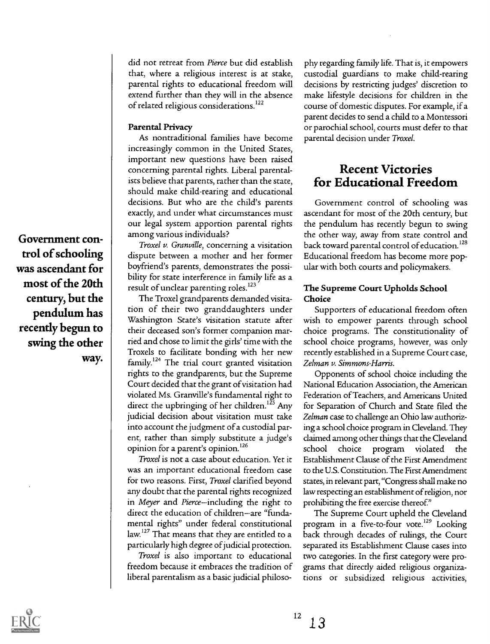did not retreat from Pierce but did establish that, where a religious interest is at stake, parental rights to educational freedom will extend further than they will in the absence of related religious considerations.<sup>122</sup>

#### Parental Privacy

As nontraditional families have become increasingly common in the United States, important new questions have been raised concerning parental rights. Liberal parentalists believe that parents, rather than the state, should make child-rearing and educational decisions. But who are the child's parents exactly, and under what circumstances must our legal system apportion parental rights among various individuals?

Troxel v. Granville, concerning a visitation dispute between a mother and her former boyfriend's parents, demonstrates the possibility for state interference in family life as a result of unclear parenting roles.<sup>123</sup>

The Troxel grandparents demanded visitation of their two granddaughters under Washington State's visitation statute after their deceased son's former companion married and chose to limit the girls' time with the Troxels to facilitate bonding with her new family.<sup>124</sup> The trial court granted visitation rights to the grandparents, but the Supreme Court decided that the grant of visitation had violated Ms. Granville's fundamental right to direct the upbringing of her children.<sup>125</sup> Any judicial decision about visitation must take into account the judgment of a custodial parent, rather than simply substitute a judge's opinion for a parent's opinion.<sup>126</sup>

Troxel is not a case about education. Yet it was an important educational freedom case for two reasons. First, Troxel clarified beyond any doubt that the parental rights recognized in Meyer and Pierce-including the right to direct the education of children-are "fundamental rights" under federal constitutional law.<sup>127</sup> That means that they are entitled to a particularly high degree of judicial protection.

Troxel is also important to educational freedom because it embraces the tradition of liberal parentalism as a basic judicial philosophy regarding family life. That is, it empowers custodial guardians to make child-rearing decisions by restricting judges' discretion to make lifestyle decisions for children in the course of domestic disputes. For example, if a parent decides to send a child to a Montessori or parochial school, courts must defer to that parental decision under Troxel.

## Recent Victories for Educational Freedom

Government control of schooling was ascendant for most of the 20th century, but the pendulum has recently begun to swing the other way, away from state control and back toward parental control of education.<sup>128</sup> Educational freedom has become more popular with both courts and policymakers.

#### The Supreme Court Upholds School Choice

Supporters of educational freedom often wish to empower parents through school choice programs. The constitutionality of school choice programs, however, was only recently established in a Supreme Court case, Zelman v. Simmons-Harris.

Opponents of school choice including the National Education Association, the American Federation of Teachers, and Americans United for Separation of Church and State filed the Zelman case to challenge an Ohio law authorizing a school choice program in Cleveland. They claimed among other things that the Cleveland school choice program violated the Establishment Clause of the First Amendment to the U.S. Constitution. The First Amendment states, in relevant part, "Congress shall make no law respecting an establishment of religion, nor prohibiting the free exercise thereof."

The Supreme Court upheld the Cleveland program in a five-to-four vote.<sup>129</sup> Looking back through decades of rulings, the Court separated its Establishment Clause cases into two categories. In the first category were programs that directly aided religious organizations or subsidized religious activities,

Govermnent control of schooling was ascendant for most of the 20th century, but the pendulum has recently begun to swing the other way.

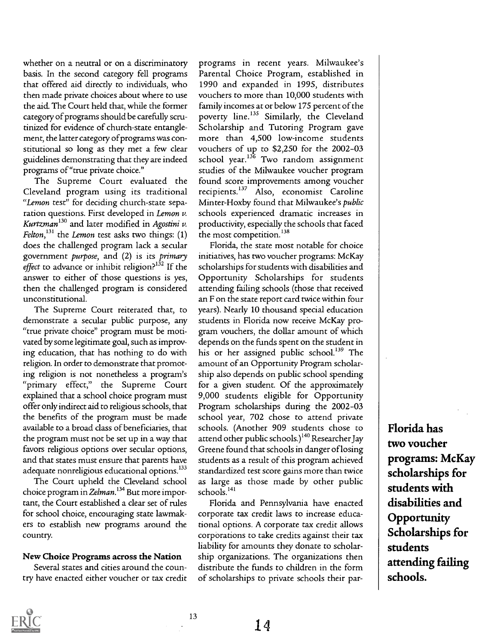whether on a neutral or on a discriminatory basis. In the second category fell programs that offered aid directly to individuals, who then made private choices about where to use the aid. The Court held that, while the former category of programs should be carefully scrutinized for evidence of church-state entanglement, the latter category of programs was constitutional so long as they met a few clear guidelines demonstrating that they are indeed programs of "true private choice."

The Supreme Court evaluated the Cleveland program using its traditional "Lemon test" for deciding church-state separation questions. First developed in Lemon v. Kurtzman'3° and later modified in Agostini v. Felton,<sup>131</sup> the Lemon test asks two things:  $(1)$ does the challenged program lack a secular government  $p$ urpose, and  $(2)$  is its primary effect to advance or inhibit religion? $132$  If the answer to either of those questions is yes, then the challenged program is considered unconstitutional.

The Supreme Court reiterated that, to demonstrate a secular public purpose, any "true private choice" program must be motivated by some legitimate goal, such as improving education, that has nothing to do with religion. In order to demonstrate that promoting religion is not nonetheless a program's "primary effect," the Supreme Court explained that a school choice program must offer only indirect aid to religious schools, that the benefits of the program must be made available to a broad class of beneficiaries, that the program must not be set up in a way that favors religious options over secular options, and that states must ensure that parents have adequate nonreligious educational options.<sup>133</sup>

The Court upheld the Cleveland school choice program in Zelman.<sup>134</sup> But more important, the Court established a clear set of rules for school choice, encouraging state lawmakers to establish new programs around the country.

#### New Choice Programs across the Nation

Several states and cities around the country have enacted either voucher or tax credit

programs in recent years. Milwaukee's Parental Choice Program, established in 1990 and expanded in 1995, distributes vouchers to more than 10,000 students with family incomes at or below 175 percent of the poverty line.135 Similarly, the Cleveland Scholarship and Tutoring Program gave more than 4,500 low-income students vouchers of up to \$2,250 for the 2002-03 school year. $136$  Two random assignment studies of the Milwaukee voucher program found score improvements among voucher recipients.137 Also, economist Caroline Minter-Hoxby found that Milwaukee's public schools experienced dramatic increases in productivity, especially the schools that faced the most competition.<sup>138</sup>

Florida, the state most notable for choice initiatives, has two voucher programs: McKay scholarships for students with disabilities and Opportunity Scholarships for students attending failing schools (those that received an F on the state report card twice within four years). Nearly 10 thousand special education students in Florida now receive McKay program vouchers, the dollar amount of which depends on the funds spent on the student in his or her assigned public school.<sup>139</sup> The amount of an Opportunity Program scholarship also depends on public school spending for a given student. Of the approximately 9,000 students eligible for Opportunity Program scholarships during the 2002-03 school year, 702 chose to attend private schools. (Another 909 students chose to attend other public schools.)<sup>140</sup> Researcher Jay Greene found that schools in danger oflosing students as a result of this program achieved standardized test score gains more than twice as large as those made by other public schools.<sup>141</sup>

Florida and Pennsylvania have enacted corporate tax credit laws to increase educational options. A corporate tax credit allows corporations to take credits against their tax liability for amounts they donate to scholarship organizations. The organizations then distribute the funds to children in the form of scholarships to private schools their par-

Florida has two voucher programs: McKay scholarships for students with disabilities and **Opportunity** Scholarships for students attending failing schools.

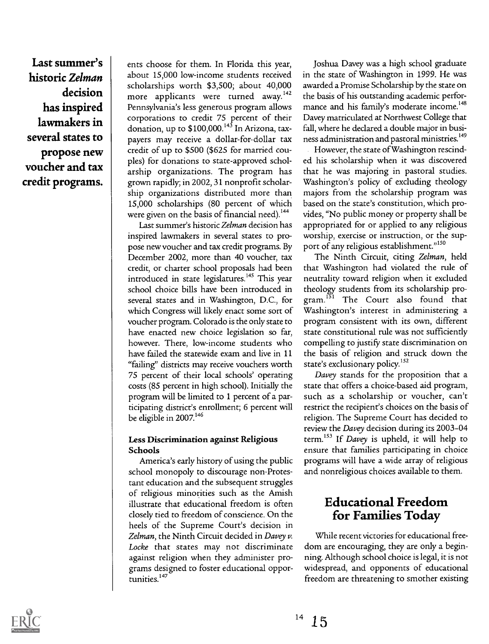Last summer's historic Zelman decision has inspired lawmakers in several states to propose new voucher and tax credit programs.

ents choose for them. In Florida this year, about 15,000 low-income students received scholarships worth \$3,500; about 40,000 more applicants were turned away.<sup>142</sup> Pennsylvania's less generous program allows corporations to credit 75 percent of their donation, up to  $$100,000$ .<sup>143</sup> In Arizona, taxpayers may receive a dollar-for-dollar tax credit of up to \$500 (\$625 for married couples) for donations to state-approved scholarship organizations. The program has grown rapidly; in 2002, 31 nonprofit scholarship organizations distributed more than 15,000 scholarships (80 percent of which were given on the basis of financial need).<sup>144</sup>

Last summer's historic Zelman decision has inspired lawmakers in several states to propose new voucher and tax credit programs. By December 2002, more than 40 voucher, tax credit, or charter school proposals had been introduced in state legislatures.<sup>145</sup> This year school choice bills have been introduced in several states and in Washington, D.C., for which Congress will likely enact some sort of voucher program. Colorado is the only state to have enacted new choice legislation so far, however. There, low-income students who have failed the statewide exam and live in 11 "failing" districts may receive vouchers worth 75 percent of their local schools' operating costs (85 percent in high school). Initially the program will be limited to 1 percent of a participating district's enrollment; 6 percent will be eligible in 2007.<sup>146</sup>

#### Less Discrimination against Religious Schools

America's early history of using the public school monopoly to discourage non-Protestant education and the subsequent struggles of religious minorities such as the Amish illustrate that educational freedom is often closely tied to freedom of conscience. On the heels of the Supreme Court's decision in Zelman, the Ninth Circuit decided in Davey v. Locke that states may not discriminate against religion when they administer programs designed to foster educational opportunities.<sup>147</sup>

Joshua Davey was a high school graduate in the state of Washington in 1999. He was awarded a Promise Scholarship by the state on the basis of his outstanding academic performance and his family's moderate income.<sup>148</sup> Davey matriculated at Northwest College that fall, where he declared a double major in business administration and pastoral ministries.<sup>149</sup>

However, the state of Washington rescinded his scholarship when it was discovered that he was majoring in pastoral studies. Washington's policy of excluding theology majors from the scholarship program was based on the state's constitution, which provides, "No public money or property shall be appropriated for or applied to any religious worship, exercise or instruction, or the support of any religious establishment."<sup>150</sup>

The Ninth Circuit, citing Zelman, held that Washington had violated the rule of neutrality toward religion when it excluded theology students from its scholarship program.<sup>151</sup> The Court also found that Washington's interest in administering a program consistent with its own, different state constitutional rule was not sufficiently compelling to justify state discrimination on the basis of religion and struck down the state's exclusionary policy.<sup>152</sup>

Davey stands for the proposition that a state that offers a choice-based aid program, such as a scholarship or voucher, can't restrict the recipient's choices on the basis of religion. The Supreme Court has decided to review the Davey decision during its 2003-04 term.<sup>153</sup> If Davey is upheld, it will help to ensure that families participating in choice programs will have a wide array of religious and nonreligious choices available to them.

## Educational Freedom for Families Today

While recent victories for educational freedom are encouraging, they are only a beginning. Although school choice is legal, it is not widespread, and opponents of educational freedom are threatening to smother existing

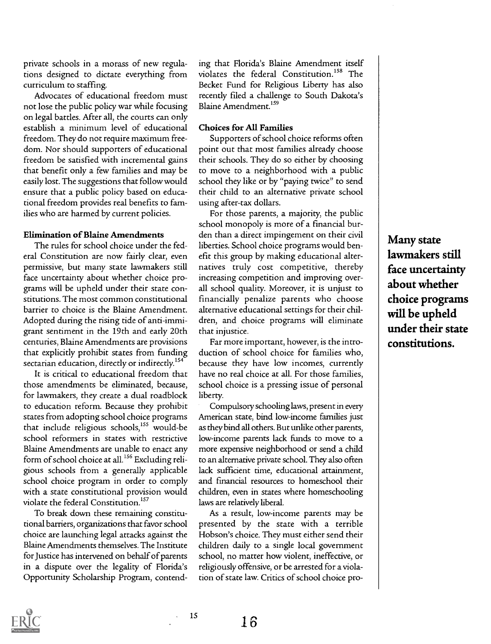private schools in a morass of new regulations designed to dictate everything from curriculum to staffing.

Advocates of educational freedom must not lose the public policy war while focusing on legal battles. After all, the courts can only establish a minimum level of educational freedom. They do not require maximum freedom. Nor should supporters of educational freedom be satisfied with incremental gains that benefit only a few families and may be easily lost. The suggestions that follow would ensure that a public policy based on educational freedom provides real benefits to families who are harmed by current policies.

#### Elimination of Blaine Amendments

The rules for school choice under the federal Constitution are now fairly clear, even permissive, but many state lawmakers still face uncertainty about whether choice programs will be upheld under their state constitutions. The most common constitutional barrier to choice is the Blaine Amendment. Adopted during the rising tide of anti-immigrant sentiment in the 19th and early 20th centuries, Blaine Amendments are provisions that explicitly prohibit states from funding sectarian education, directly or indirectly.<sup>154</sup>

It is critical to educational freedom that those amendments be eliminated, because, for lawmakers, they create a dual roadblock to education reform. Because they prohibit states from adopting school choice programs that include religious schools, $155$  would-be school reformers in states with restrictive Blaine Amendments are unable to enact any form of school choice at all.<sup>156</sup> Excluding religious schools from a generally applicable school choice program in order to comply with a state constitutional provision would violate the federal Constitution.<sup>157</sup>

To break down these remaining constitutional barriers, organizations that favor school choice are launching legal attacks against the Blaine Amendments themselves. The Institute for Justice has intervened on behalf of parents in a dispute over the legality of Florida's Opportunity Scholarship Program, contending that Florida's Blaine Amendment itself violates the federal Constitution.<sup>158</sup> The Becket Fund for Religious Liberty has also recently filed a challenge to South Dakota's Blaine Amendment.'59

#### Choices for All Families

Supporters of school choice reforms often point out that most families already choose their schools. They do so either by choosing to move to a neighborhood with a public school they like or by "paying twice" to send their child to an alternative private school using after-tax dollars.

For those parents, a majority, the public school monopoly is more of a financial burden than a direct impingement on their civil liberties. School choice programs would benefit this group by making educational alternatives truly cost competitive, thereby increasing competition and improving overall school quality. Moreover, it is unjust to Financially penalize parents who choose alternative educational settings for their children, and choice programs will eliminate that injustice.

Far more important, however, is the introduction of school choice for families who, because they have low incomes, currently have no real choice at all. For those families, school choice is a pressing issue of personal liberty.

Compulsory schooling laws, present in every American state, bind low-income families just as they bind all others. But unlike other parents, low-income parents lack funds to move to a more expensive neighborhood or send a child to an alternative private school. They also often lack sufficient time, educational attainment, and fmancial resources to homeschool their children, even in states where homeschooling laws are relatively liberal.

As a result, low-income parents may be presented by the state with a terrible Hobson's choice. They must either send their children daily to a single local government school, no matter how violent, ineffective, or religiously offensive, or be arrested for a violation of state law. Critics of school choice pro-

Many state lawmakers still face uncertainty about whether choice programs will be upheld under their state constitutions.

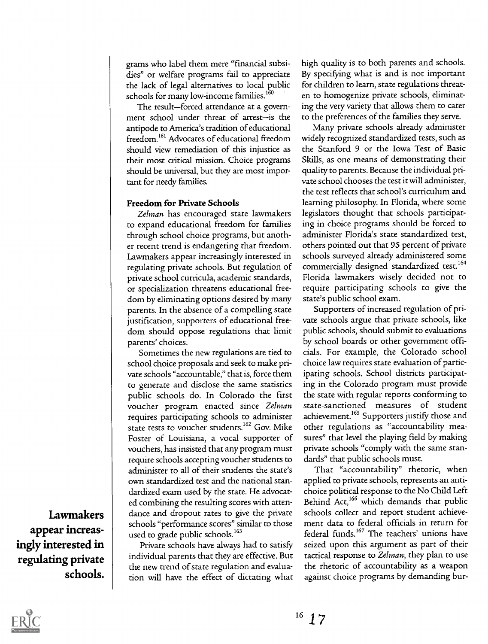grams who label them mere "financial subsidies" or welfare programs fail to appreciate the lack of legal alternatives to local public schools for many low-income families.<sup>160</sup>

The result-forced attendance at a government school under threat of arrest-is the antipode to America's tradition of educational freedom.<sup>161</sup> Advocates of educational freedom should view remediation of this injustice as their most critical mission. Choice programs should be universal, but they are most important for needy families.

#### Freedom for Private Schools

Zelman has encouraged state lawmakers to expand educational freedom for families through school choice programs, but another recent trend is endangering that freedom. Lawmakers appear increasingly interested in regulating private schools. But regulation of private school curricula, academic standards, or specialization threatens educational freedom by eliminating options desired by many parents. In the absence of a compelling state justification, supporters of educational freedom should oppose regulations that limit parents' choices.

Sometimes the new regulations are tied to school choice proposals and seek to make private schools "accountable," that is, force them to generate and disclose the same statistics public schools do. In Colorado the first voucher program enacted since Zelman requires participating schools to administer state tests to voucher students.<sup>162</sup> Gov. Mike Foster of Louisiana, a vocal supporter of vouchers, has insisted that any program must require schools accepting voucher students to administer to all of their students the state's own standardized test and the national standardized exam used by the state. He advocated combining the resulting scores with attendance and dropout rates to give the private schools "performance scores" similar to those used to grade public schools.<sup>163</sup>

Private schools have always had to satisfy individual parents that they are effective. But the new trend of state regulation and evaluation will have the effect of dictating what high quality is to both parents and schools. By specifying what is and is not important for children to learn, state regulations threaten to homogenize private schools, eliminating the very variety that allows them to cater to the preferences of the families they serve.

Many private schools already administer widely recognized standardized tests, such as the Stanford 9 or the Iowa Test of Basic Skills, as one means of demonstrating their quality to parents. Because the individual private school chooses the test it will administer, the test reflects that school's curriculum and learning philosophy. In Florida, where some legislators thought that schools participating in choice programs should be forced to administer Florida's state standardized test, others pointed out that 95 percent of private schools surveyed already administered some commercially designed standardized test.<sup>164</sup> Florida lawmakers wisely decided not to require participating schools to give the state's public school exam.

Supporters of increased regulation of private schools argue that private schools, like public schools, should submit to evaluations by school boards or other government officials. For example, the Colorado school choice law requires state evaluation of participating schools. School districts participating in the Colorado program must provide the state with regular reports conforming to state-sanctioned measures of student achievement.<sup>165</sup> Supporters justify those and other regulations as "accountability measures" that level the playing field by making private schools "comply with the same standards" that public schools must.

That "accountability" rhetoric, when applied to private schools, represents an antichoice political response to the No Child Left Behind Act,166 which demands that public schools collect and report student achievement data to federal officials in return for federal funds.<sup>167</sup> The teachers' unions have seized upon this argument as part of their tactical response to Zelman; they plan to use the rhetoric of accountability as a weapon against choice programs by demanding bur-

Lawmakers appear increasingly interested in regulating private schools.

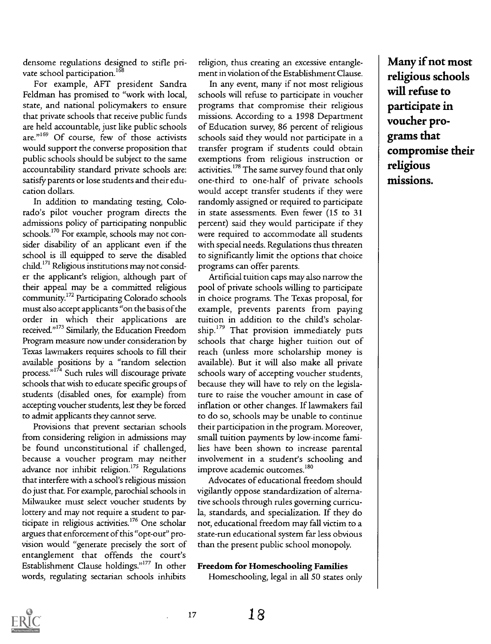densome regulations designed to stifle private school participation.<sup>168</sup>

For example, AFT president Sandra Feldman has promised to "work with local, state, and national policymakers to ensure that private schools that receive public funds are held accountable, just like public schools are."<sup>169</sup> Of course, few of those activists would support the converse proposition that public schools should be subject to the same accountability standard private schools are: satisfy parents or lose students and their education dollars.

In addition to mandating testing, Colorado's pilot voucher program directs the admissions policy of participating nonpublic schools.<sup>170</sup> For example, schools may not consider disability of an applicant even if the school is ill equipped to serve the disabled child.'7' Religious institutions may not consider the applicant's religion, although part of their appeal may be a committed religious community.172 Participating Colorado schools must also accept applicants "on the basis of the order in which their applications are received."<sup>173</sup> Similarly, the Education Freedom Program measure now under consideration by Texas lawmakers requires schools to fill their available positions by a "random selection process."174 Such rules will discourage private schools that wish to educate specific groups of students (disabled ones, for example) from accepting voucher students, lest they be forced to admit applicants they cannot serve.

Provisions that prevent sectarian schools from considering religion in admissions may be found unconstitutional if challenged, because a voucher program may neither advance nor inhibit religion.<sup>175</sup> Regulations that interfere with a school's religious mission do just that. For example, parochial schools in Milwaukee must select voucher students by lottery and may not require a student to participate in religious activities.<sup>176</sup> One scholar argues that enforcement of this "opt-out" provision would "generate precisely the sort of entanglement that offends the court's Establishment Clause holdings."177 In other words, regulating sectarian schools inhibits

religion, thus creating an excessive entanglement in violation of the Establishment Clause.

In any event, many if not most religious schools will refuse to participate in voucher programs that compromise their religious missions. According to a 1998 Department of Education survey, 86 percent of religious schools said they would not participate in a transfer program if students could obtain exemptions from religious instruction or activities.'78 The same survey found that only one-third to one-half of private schools would accept transfer students if they were randomly assigned or required to participate in state assessments. Even fewer (15 to 31 percent) said they would participate if they were required to accommodate all students with special needs. Regulations thus threaten to significantly limit the options that choice programs can offer parents.

Artificial tuition caps may also narrow the pool of private schools willing to participate in choice programs. The Texas proposal, for example, prevents parents from paying tuition in addition to the child's scholarship.<sup>179</sup> That provision immediately puts schools that charge higher tuition out of reach (unless more scholarship money is available). But it will also make all private schools wary of accepting voucher students, because they will have to rely on the legislature to raise the voucher amount in case of inflation or other changes. If lawmakers fail to do so, schools may be unable to continue their participation in the program. Moreover, small tuition payments by low-income families have been shown to increase parental involvement in a student's schooling and improve academic outcomes.<sup>180</sup>

Advocates of educational freedom should vigilantly oppose standardization of alternative schools through rules governing curricula, standards, and specialization. If they do not, educational freedom may fall victim to a state-run educational system far less obvious than the present public school monopoly.

#### Freedom for Homeschooling Families

Homeschooling, legal in all 50 states only

Many if not most religious schools will refuse to participate in voucher programs that compromise their religious missions.

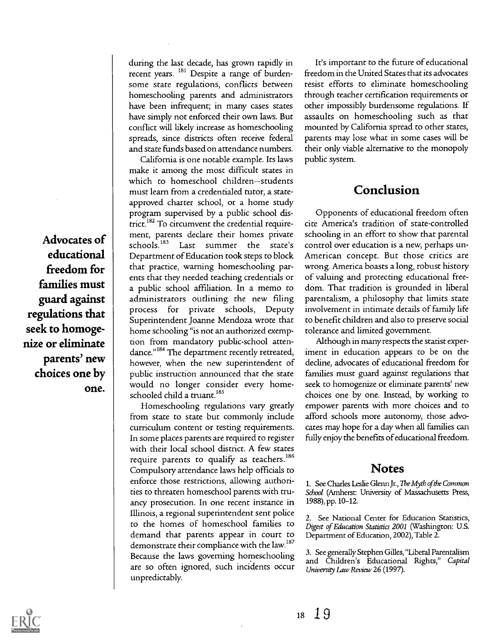Advocates of  $\parallel$  ment, paref educational freedom for families must guard against regulations that seek to homogenize or eliminate parents' new choices one by one.

during the last decade, has grown rapidly in recent years. <sup>181</sup> Despite a range of burdensome state regulations, conflicts between homeschooling parents and administrators have been infrequent; in many cases states have simply not enforced their own laws. But conflict will likely increase as homeschooling spreads, since districts often receive federal and state funds based on attendance numbers.

California is one notable example. Its laws make it among the most difficult states in which to homeschool children-students must learn from a credentialed tutor, a stateapproved charter school, or a home study program supervised by a public school district.<sup>182</sup> To circumvent the credential requirement, parents declare their homes private Last summer the state's Department of Education took steps to block that practice, warning homeschooling parents that they needed teaching credentials or a public school affiliation. In a memo to administrators outlining the new filing process for private schools, Deputy Superintendent Joanne Mendoza wrote that home schooling "is not an authorized exemption from mandatory public-school attendance."<sup>184</sup> The department recently retreated, however, when the new superintendent of public instruction announced that the state would no longer consider every homeschooled child a truant.<sup>185</sup>

Homeschooling regulations vary greatly from state to state but commonly include curriculum content or testing requirements. In some places parents are required to register with their local school district. A few states require parents to qualify as teachers.<sup>186</sup> Compulsory attendance laws help officials to enforce those restrictions, allowing authorities to threaten homeschool parents with truancy prosecution. In one recent instance in Illinois, a regional superintendent sent police to the homes of homeschool families to demand that parents appear in court to demonstrate their compliance with the law.<sup>187</sup> Because the laws governing homeschooling are so often ignored, such incidents occur unpredictably.

It's important to the future of educational freedom in the United States that its advocates resist efforts to eliminate homeschooling through teacher certification requirements or other impossibly burdensome regulations. If assaults on homeschooling such as that mounted by California spread to other states, parents may lose what in some cases will be their only viable alternative to the monopoly public system.

## Conclusion

Opponents of educational freedom often cite America's tradition of state-controlled schooling in an effort to show that parental control over education is a new, perhaps un-American concept. But those critics are wrong. America boasts a long, robust history of valuing and protecting educational freedom. That tradition is grounded in liberal parentalism, a philosophy that limits state involvement in intimate details of family life to benefit children and also to preserve social tolerance and limited government.

Although in many respects the statist experiment in education appears to be on the decline, advocates of educational freedom for families must guard against regulations that seek to homogenize or eliminate parents' new choices one by one. Instead, by working to empower parents with more choices and to afford schools more autonomy, those advocates may hope for a day when all families can fully enjoy the benefits of educational freedom.

## Notes

1. See Charles Leslie Glenn Jr., The Myth of the Common School (Amherst: University of Massachusetts Press, 1988), pp. 10-12.

2. See National Center for Education Statistics, Digest of Education Statistics 2001 (Washington: U.S. Department of Education, 2002), Table 2.

3. See generally Stephen Gilles, "Liberal Parentalism and Children's Educational Rights," Capital University Law Review 26 (1997).

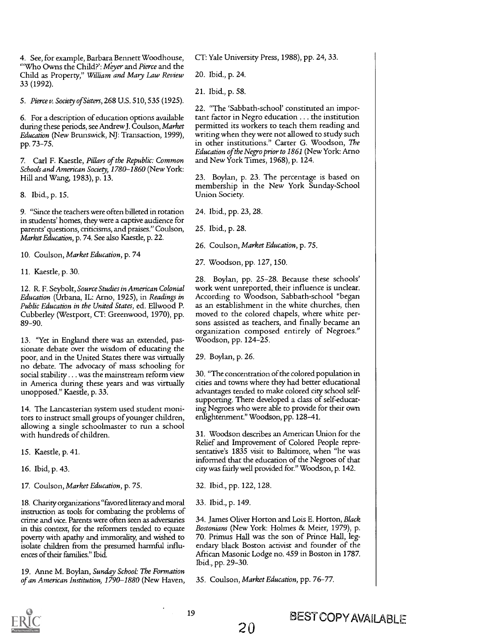4. See, for example, Barbara Bennett Woodhouse, "Who Owns the Child?': M'eyer and Pierce and the Child as Property," William and Mary Law Review 33 (1992).

5. Pierce v. Society of Sisters, 268 U.S. 510, 535 (1925).

6. For a description of education options available during these periods, see Andrew J. Coulson, Market Education (New Brunswick, NJ: Transaction, 1999), pp. 73-75.

7. Carl F. Kaestle, Pillars of the Republic: Common Schools and American Society, 1780-1860 (New York: Hill and Wang, 1983), p. 13.

8. Ibid., p. 15.

9. "Since the teachers were often billeted in rotation in students' homes, they were a captive audience for parents' questions, criticisms, and praises." Coulson, Market Education, p. 74. See also Kaestle, p. 22.

10. Coulson, Market Education, p. 74

11. Kaestle, p. 30.

12. R. F. Seybolt, Source Studies in American Colonial Education (Urbana, IL: Arno, 1925), in Readings in Public Education in the United States, ed. Ellwood P. Cubberley (Westport, CT: Greenwood, 1970), pp. 89-90.

13. "Yet in England there was an extended, passionate debate over the wisdom of educating the poor, and in the United States there was virtually no debate. The advocacy of mass schooling for social stability . . . was the mainstream reform view in America during these years and was virtually unopposed." Kaestle, p. 33.

14. The Lancasterian system used student monitors to instruct small groups of younger children, allowing a single schoolmaster to run a school with hundreds of children.

15. Kaestle, p. 41.

16. Ibid, p. 43.

17. Coulson, Market Education, p. 75.

18. Charity organizations "favored literacy and moral instruction as tools for combating the problems of crime and vice. Parents were often seen as adversaries in this context, for the reformers tended to equate poverty with apathy and immorality, and wished to isolate children from the presumed harmful influences of their families." Ibid.

19. Anne M. Boylan, Sunday School: The Formation of an American Institution, 1790-1880 (New Haven, CT: Yale University Press, 1988), pp. 24, 33.

20. Ibid., p. 24.

21. Ibid., p. 58.

22. "The 'Sabbath-school' constituted an important factor in Negro education . . . the institution permitted its workers to teach them reading and writing when they were not allowed to study such in other institutions." Carter G. Woodson, The Education of the Negro prior to 1861 (New York: Arno and New York Times, 1968), p. 124.

23. Boylan, p. 23. The percentage is based on membership in the New York Sunday-School Union Society.

24. Ibid., pp. 23, 28.

25. Ibid., p. 28.

26. Coulson, Market Education, p. 75.

27. Woodson, pp. 127, 150.

28. Boylan, pp. 25-28. Because these schools' work went unreported, their influence is unclear. According to Woodson, Sabbath-school "began as an establishment in the white churches, then moved to the colored chapels, where white persons assisted as teachers, and finally became an organization composed entirely of Negroes." Woodson, pp. 124-25.

29. Boylan, p. 26.

30. "The concentration of the colored population in cities and towns where they had better educational advantages tended to make colored city school selfsupporting. There developed a class of self-educating Negroes who were able to provide for their own enlightenment." Woodson, pp. 128-41.

31. Woodson describes an American Union for the Relief and Improvement of Colored People representative's 1835 visit to Baltimore, when "he was informed that the education of the Negroes of that city was fairly well provided for." Woodson, p. 142.

32. Ibid., pp. 122, 128.

33. Ibid., p. 149.

34. James Oliver Horton and Lois E. Horton, Black Bostonians (New York: Holmes & Meier, 1979), p. 70. Primus Hall was the son of Prince Hall, legendary black Boston activist and founder of the African Masonic Lodge no. 459 in Boston in 1787. Ibid., pp. 29-30.

35. Coulson, Market Education, pp. 76-77.

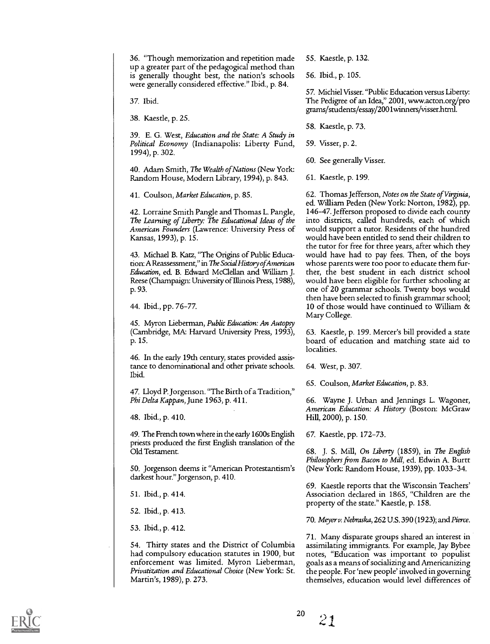36. "Though memorization and repetition made up a greater part of the pedagogical method than is generally thought best, the nation's schools were generally considered effective." Ibid., p. 84.

37. Ibid.

38. Kaestle, p. 25.

39. E. G. West, Education and the State: A Study in Political Economy (Indianapolis: Liberty Fund, 1994), p. 302.

40. Adam Smith, The Wealth of Nations (New York: Random House, Modern Library, 1994), p. 843.

41. Coulson, Market Education, p. 85.

42. Lorraine Smith Pangle and Thomas L. Pangle, The Learning of Liberty: The Educational Ideas of the American Founders (Lawrence: University Press of Kansas, 1993), p. 15.

43. Michael B. Katz, "The Origins of Public Education: A Reassessment," in The Social History of American Education, ed. B. Edward McClellan and William J. Reese (Champaign: University of Illinois Press, 1988), p. 93.

44. Ibid., pp. 76-77.

45. Myron Lieberman, Public Education: An Autopg (Cambridge, MA: Harvard University Press, 1993), p. 15.

46. In the early 19th century, states provided assistance to denominational and other private schools. Ibid.

47. Lloyd P. Jorgenson. "The Birth of a Tradition," Phi Delta Kappan, June 1963, p. 411.

48. Ibid., p. 410.

49. The French town where in the early 1600s English priests produced the first English translation of the Old Testament.

50. Jorgenson deems it "American Protestantism's darkest hour." Jorgenson, p. 410.

51. Ibid., p. 414.

52. Ibid., p. 413.

53. Ibid., p. 412.

54. Thirty states and the District of Columbia had compulsory education statutes in 1900, but enforcement was limited. Myron Lieberman, Privatization and Educational Choice (New York: St. Martin's, 1989), p. 273.

SS. Kaestle, p. 132.

56. Ibid., p. 105.

57. Michiel Visser. "Public Education versus Liberty: The Pedigree of an Idea," 2001, www.acton.org/pro grams/students/essay/2001winners/visser.html.

58. Kaestle, p. 73.

59. Visser, p. 2.

60. See generally Visser.

61. Kaestle, p. 199.

62. Thomas Jefferson, Notes on the State of Virginia, ed. William Peden (New York: Norton, 1982), pp. 146-47. Jefferson proposed to divide each county into districts, called hundreds, each of which would support a tutor. Residents of the hundred would have been entitled to send their children to the tutor for free for three years, after which they would have had to pay fees. Then, of the boys whose parents were too poor to educate them further, the best student in each district school would have been eligible for further schooling at one of 20 grammar schools. Twenty boys would then have been selected to finish grammar school; 10 of those would have continued to William & Mary College.

63. Kaestle, p. 199. Mercer's bill provided a state board of education and matching state aid to localities.

64. West, p. 307.

65. Coulson, Market Education, p. 83.

66. Wayne J. Urban and Jennings L. Wagoner, American Education: A History (Boston: McGraw Hill, 2000), p. 150.

67. Kaestle, pp. 172-73.

68. J. S. Mill, On Liberty (1859), in The English Philosophers from Bacon to Mill, ed. Edwin A. Burtt (New York: Random House, 1939), pp. 1033-34.

69. Kaestle reports that the Wisconsin Teachers' Association declared in 1865, "Children are the property of the state." Kaestle, p. 158.

70. Meyer v. Nebraska, 262 U.S. 390 (1923); and Pierce.

71. Many disparate groups shared an interest in assimilating immigrants. For example, Jay Bybee notes, "Education was important to populist goals as a means of socializing and Americanizing the people. For 'new people' involved in governing themselves, education would level differences of

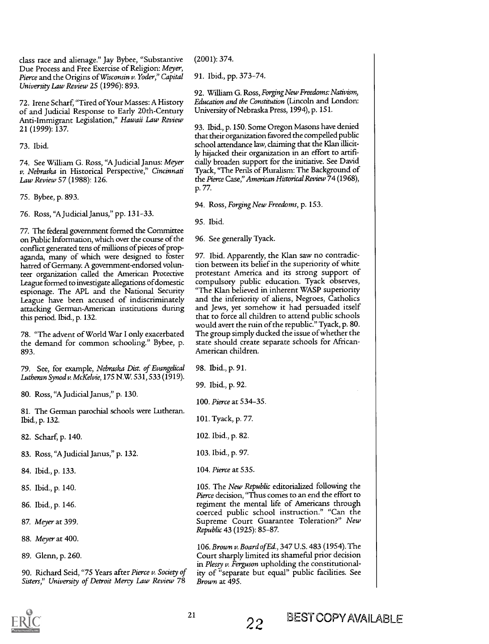class race and alienage." Jay Bybee, "Substantive Due Process and Free Exercise of Religion: Meyer, Pierce and the Origins of Wisconsin v. Yoder," Capital Universiy Law Review 25 (1996): 893.

72. Irene Scharf, "Tired of Your Masses: A History of and Judicial Response to Early 20th-Century Anti-Immigrant Legislation," Hawaii Law Review 21 (1999): 137.

73. Ibid.

74. See William G. Ross, "A Judicial Janus: Meyer v. Nebraska in Historical Perspective," Cincinnati Law Review 57 (1988): 126.

75. Bybee, p. 893.

76. Ross, "A Judicial Janus," pp. 131-33.

77. The federal government formed the Committee on Public Information, which over the course of the conflict generated tens of millions of pieces of propaganda, many of which were designed to foster hatred of Germany. A government-endorsed volunteer organization called the American Protective League formed to investigate allegations of domestic espionage. The APL and the National Security League have been accused of indiscriminately attacking German-American institutions during this period. Ibid., p. 132.

78. "The advent of World War I only exacerbated the demand for common schooling." Bybee, p. 893.

79. See, for example, Nebraska Dist. of Evangelical Lutheran Synod v. McKelvie, 175 N.W. 531, 533 (1919).

80. Ross, "A Judicial Janus," p. 130.

81. The German parochial schools were Lutheran. Ibid., p. 132.

82. Scharf, p. 140.

83. Ross, "A Judicial Janus," p. 132.

84. Ibid., p. 133.

85. Ibid., p. 140.

- 86. Ibid., p. 146.
- 87. Meyer at 399.
- 88. Meyer at 400.
- 89. Glenn, p. 260.

90. Richard Seid, "75 Years after Pierce v. Society of Sisters," University of Detroit Mercy Law Review 78

(2001): 374.

91. Ibid., pp. 373-74.

92. William G. Ross, Forging New Freedoms: Nativism, Education and the Constitution (Lincoln and London: University of Nebraska Press, 1994), p. 151.

93. Ibid., p. 150. Some Oregon Masons have denied that their organization favored the compelled public school attendance law, claiming that the Klan illicitly hijacked their organization in an effort to artificially broaden support for the initiative. See David Tyack, "The Perils of Pluralism: The Background of the Pierce Case," American Historical Review 74 (1968), p. 77.

94. Ross, Forging New Freedoms, p. 153.

95. Ibid.

96. See generally Tyack.

97. Ibid. Apparently, the Klan saw no contradiction between its belief in the superiority of white protestant America and its strong support of compulsory public education. Tyack observes, "The Klan believed in inherent WASP superiority and the inferiority of aliens, Negroes, Catholics and Jews, yet somehow it had persuaded itself that to force all children to attend public schools would avert the ruin of the republic." Tyack, p. 80. The group simply ducked the issue of whether the state should create separate schools for African-American children.

98. Ibid., p. 91.

99. Ibid., p. 92.

100. Pierce at 534-35.

101. Tyack, p. 77.

102. Ibid., p. 82.

103. Ibid., p. 97.

104. Pierce at 535.

105. The New Republic editorialized following the Pierce decision, "Thus comes to an end the effort to regiment the mental life of Americans through coerced public school instruction." "Can the Supreme Court Guarantee Toleration?" New Republic 43 (1925): 85-87.

106. Brown v. Board of Ed., 347 U.S. 483 (1954). The Court sharply limited its shameful prior decision in Plessy  $\nu$ . Ferguson upholding the constitutionality of "separate but equal" public facilities. See Brown at 495.

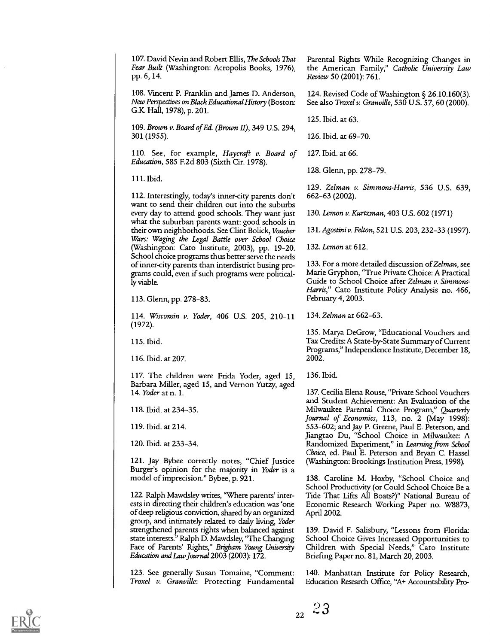107. David Nevin and Robert Ellis, The Schools That Fear Built (Washington: Acropolis Books, 1976), pp. 6, 14.

108. Vincent P. Franklin and James D. Anderson, New Perspectives on Black Educational History (Boston: G.K. Hall, 1978), p. 201.

109. Brown v. Board of Ed. (Brown H), 349 U.S. 294, 301 (1955).

110. See, for example, Haycraft v. Board of Education, 585 F.2d 803 (Sixth Cir. 1978).

111. Ibid.

112. Interestingly, today's inner-city parents don't want to send their children out into the suburbs every day to attend good schools. They want just what the suburban parents want: good schools in their own neighborhoods. See Clint Bolick, Voucher Wars: Waging the Legal Battle over School Choice (Washington: Cato Institute, 2003), pp. 19-20. School choice programs thus better serve the needs of inner-city parents than interdistrict busing programs could, even if such programs were politically viable.

113. Glenn, pp. 278-83.

114. Wisconsin v. Yoder, 406 U.S. 205, 210-11 (1972).

115. Ibid.

116. Ibid. at 207.

117. The children were Frida Yoder, aged 15, Barbara Miller, aged 15, and Vernon Yutzy, aged 14. Yoder at n. 1.

118. Ibid. at 234-35.

119. Ibid. at 214.

120. Ibid. at 233-34.

121. Jay Bybee correctly notes, "Chief Justice Burger's opinion for the majority in Yoder is a model of imprecision." Bybee, p. 921.

122. Ralph Mawdsley writes, "Where parents' interests in directing their children's education was 'one of deep religious conviction, shared by an organized group, and intimately related to daily living, Yoder strengthened parents rights when balanced against state interests." Ralph D. Mawdsley, "The Changing Face of Parents' Rights," Brigham Young University Education and Law Journal 2003 (2003): 172.

123. See generally Susan Tomaine, "Comment: Troxel v. Granville: Protecting Fundamental

Parental Rights While Recognizing Changes in the American Family," Catholic University Law Review 50 (2001): 761.

124. Revised Code of Washington § 26.10.160(3). See also Troxel v. Granville, 530 U.S. 57, 60 (2000).

125. Ibid. at 63.

126. Ibid. at 69-70.

127. Ibid. at 66.

128. Glenn, pp. 278-79.

129. Zelman v. Simmons-Harris, 536 U.S. 639, 662-63 (2002).

130. Lemon v. Kurtzman, 403 U.S. 602 (1971)

131. Agostini v. Felton, 521 U.S. 203, 232-33 (1997).

132. Lemon at 612.

133. For a more detailed discussion of Zelman, see Marie Gryphon, "True Private Choice: A Practical Guide to School Choice after Zelman v. Simmons-Harris," Cato Institute Policy Analysis no. 466, February 4, 2003.

134. Zelman at 662-63.

135. Marya DeGrow, "Educational Vouchers and Tax Credits: A State-by-State Summary of Current Programs," Independence Institute, December 18, 2002.

136. Ibid.

137. Cecilia Elena Rouse, "Private School Vouchers and Student Achievement: An Evaluation of the Milwaukee Parental Choice Program," Quarterly Journal of Economics, 113, no. 2 (May 1998): 553-602; and Jay P. Greene, Paul E. Peterson, and Jiangtao Du, "School Choice in Milwaukee: A Randomized Experiment," in Learning from School Choice, ed. Paul E. Peterson and Bryan C. Hassel (Washington: Brookings Institution Press, 1998).

138. Caroline M. Hoxby, "School Choice and School Productivity (or Could School Choice Be a Tide That Lifts All Boats?)" National Bureau of Economic Research Working Paper no. W8873, April 2002.

139. David F. Salisbury, "Lessons from Florida: School Choice Gives Increased Opportunities to Children with Special Needs," Cato Institute Briefing Paper no. 81, March 20, 2003.

140. Manhattan Institute for Policy Research, Education Research Office, "A+ Accountability Pro-

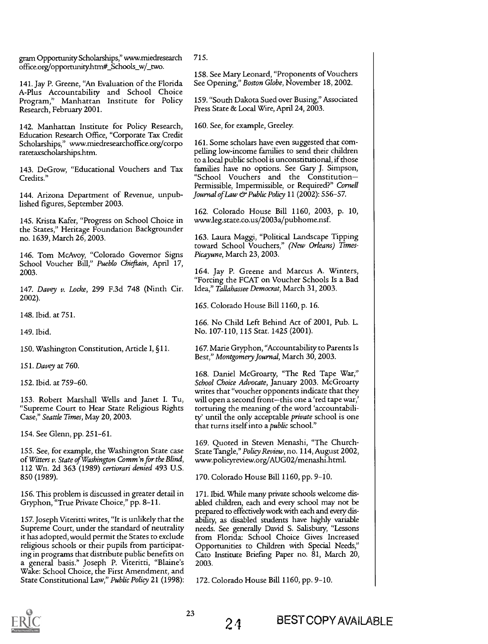gram Opportunity Scholarships," www.miedresearch office.org/opportunity.htm#\_Schools\_w/\_two.

141. Jay P. Greene, "An Evaluation of the Florida A-Plus Accountability and School Choice Program," Manhattan Institute for Policy Research, February 2001.

142. Manhattan Institute for Policy Research, Education Research Office, "Corporate Tax Credit Scholarships," www.miedresearchoffice.org/corpo ratetaxscholarships.htm.

143. DeGrow, "Educational Vouchers and Tax Credits."

144. Arizona Department of Revenue, unpublished figures, September 2003.

145. Krista Kafer, "Progress on School Choice in the States," Heritage Foundation Backgrounder no. 1639, March 26, 2003.

146. Tom McAvoy, "Colorado Governor Signs School Voucher Bill," Pueblo Chieftain, April 17, 2003.

147. Davey v. Locke, 299 F.3d 748 (Ninth Cir. 2002).

148. Ibid. at 751.

149. Ibid.

150. Washington Constitution, Article I, §11.

151. Davey at 760.

152. Ibid. at 759-60.

153. Robert Marshall Wells and Janet I. Tu, "Supreme Court to Hear State Religious Rights Case," Seattle Times, May 20, 2003.

154. See Glenn, pp. 2S1-61.

155. See, for example, the Washington State case of Witters v. State ofWashington Comm'n for the Blind, 112 Wn. 2d 363 (1989) certiorari denied 493 U.S. 850 (1989).

156. This problem is discussed in greater detail in Gryphon, "True Private Choice," pp. 8-11.

157. Joseph Viteritti writes, "It is unlikely that the Supreme Court, under the standard of neutrality it has adopted, would permit the States to exclude religious schools or their pupils from participating in programs that distribute public benefits on a general basis." Joseph P. Viteritti, "Blaine's Wake: School Choice, the First Amendment, and State Constitutional Law," Public Policy 21 (1998):

715.

158. See Mary Leonard, "Proponents of Vouchers See Opening," Boston Globe, November 18, 2002.

159. "South Dakota Sued over Busing," Associated Press State & Local Wire, April 24, 2003.

160. See, for example, Greeley.

161. Some scholars have even suggested that compelling low-income families to send their children to a local public school is unconstitutional, if those families have no options. See Gary J. Simpson, "School Vouchers and the Constitution-Permissible, Impermissible, or Required?" Cornell Journal of Law & Public Policy 11 (2002): 556-57.

162. Colorado House Bill 1160, 2003, p. 10, www.leg.state.co.us/2003a/pubhome.nsf.

163. Laura Maggi, "Political Landscape Tipping toward School Vouchers," (New Orleans) Times-Picayune, March 23, 2003.

164. Jay P. Greene and Marcus A. Winters, "Forcing the FCAT on Voucher Schools Is a Bad Idea," Tallahassee Democrat, March 31, 2003.

165. Colorado House Bill 1160, p. 16.

166. No Child Left Behind Act of 2001, Pub. L. No. 107-110, 115 Stat. 1425 (2001).

167. Marie Gryphon, "Accountability to Parents Is Best," Montgomery Journal, March 30, 2003.

168. Daniel McGroarty, "The Red Tape War," School Choice Advocate, January 2003. McGroarty writes that "voucher opponents indicate that they will open a second front-this one a 'red tape war,' torturing the meaning of the word 'accountability' until the only acceptable *private* school is one that turns itself into a *public* school."

169. Quoted in Steven Menashi, "The Church-State Tangle," Policy Review, no. 114, August 2002, www.policyreview.org/AUG02/menashi.html.

170. Colorado House Bill 1160, pp. 9-10.

171. Ibid. While many private schools welcome disabled children, each and every school may not be prepared to effectively work with each and every disability, as disabled students have highly variable needs. See generally David S. Salisbury, "Lessons from Florida: School Choice Gives Increased Opportunities to Children with Special Needs," Cato Institute Briefing Paper no. 81, March 20, 2003.

172. Colorado House Bill 1160, pp. 9-10.

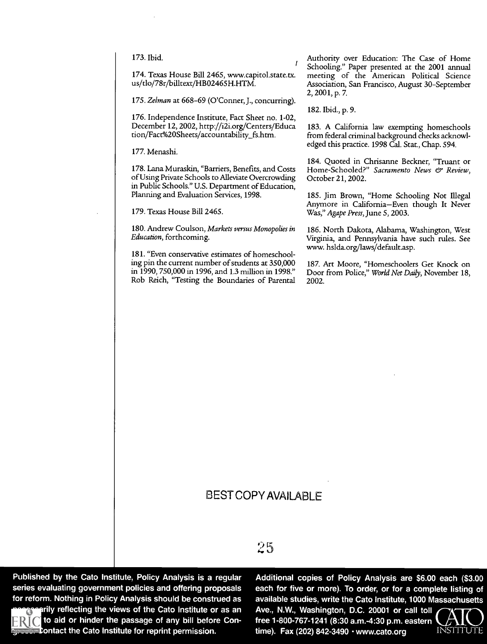173. Ibid.

174. Texas House Bill 2465, www.capitol.state.tx. us/do/78r/billtext/HB02465H.HTM.

175. Zelman at 668-69 (O'Conner, J., concurring).

176. Independence Institute, Fact Sheet no. 1-02, December 12, 2002, http://i2i.org/Centers/Educa tion/Fact%20Sheets/accountability\_fs.htm.

177. Menashi.

178. Lana Muraskin, "Barriers, Benefits, and Costs of Using Private Schools to Alleviate Overcrowding in Public Schools." U.S. Department of Education, Planning and Evaluation Services, 1998.

179, Texas House Bill 2465.

180. Andrew Coulson, Markets versus Monopolies in Education, forthcoming.

181. "Even conservative estimates of homeschooling pin the current number of students at 350,000 in 1990, 750,000 in 1996, and 1.3 million in 1998." Rob Reich, "Testing the Boundaries of Parental

Authority over Education: The Case of Home Schooling." Paper presented at the 2001 annual meeting of the American Political Science Association, San Francisco, August 30-September 2, 2001, p. 7.

182. Ibid., p. 9.

 $\sqrt{ }$ 

183. A California law exempting homeschools from federal criminal background checks acknowledged this practice. 1998 Cal. Stat., Chap. 594.

184. Quoted in Chrisanne Beckner, "Truant or Home-Schooled?" Sacramento News & Review, October 21, 2002.

185. Jim Brown, "Home Schooling Not Illegal Anymore in California-Even though It Never Was," Agape Press, June 5, 2003.

186. North Dakota, Alabama, Washington, West Virginia, and Pennsylvania have such rules. See www. hslda.org/laws/default.asp.

187. Art Moore, "Homeschoolers Get Knock on Door from Police," World Net Daily, November 18, 2002.

## BEST COPY AVAILABLE

## 25

Published by the Cato Institute, Policy Analysis is a regular series evaluating government policies and offering proposals for reform. Nothing in Policy Analysis should be construed as arily reflecting the views of the Cato Institute or as an to aid or hinder the passage of any bill before Concontact the Cato Institute for reprint permission.

Additional copies of Policy Analysis are \$6.00 each (\$3.00 each for five or more). To order, or for a complete listing of available studies, write the Cato Institute, 1000 Massachusetts Ave., N.W., Washington, D.C. 20001 or call toll

free 1-800-767-1241 (8:30 a.m.-4:30 p.m. eastern time). Fax (202) 842-3490  $\cdot$  www.cato.org INSTIT